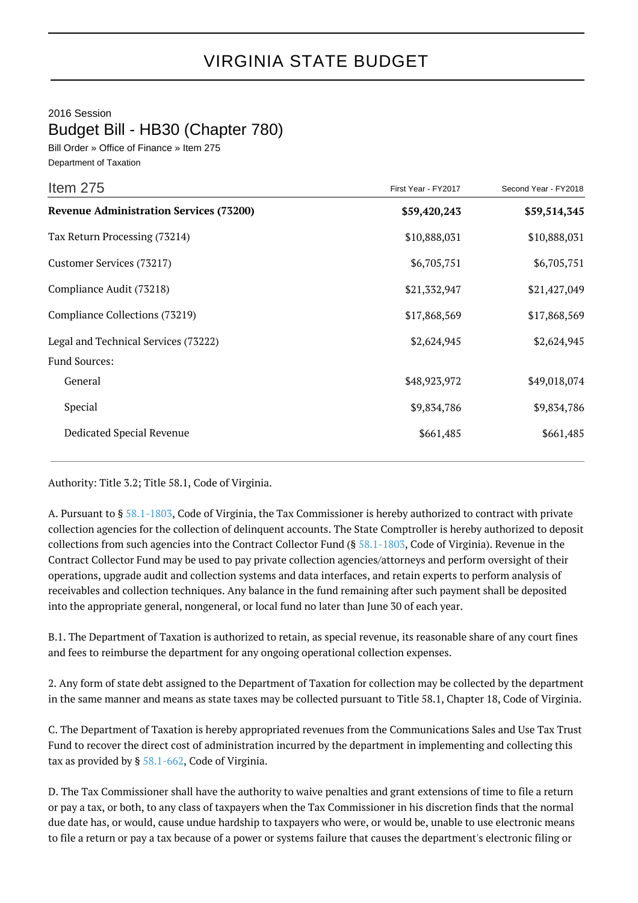2016 Session

Budget Bill - HB30 (Chapter 780)

Bill Order » Office of Finance » Item 275 Department of Taxation

| Item 275                                       | First Year - FY2017 | Second Year - FY2018 |
|------------------------------------------------|---------------------|----------------------|
| <b>Revenue Administration Services (73200)</b> | \$59,420,243        | \$59,514,345         |
| Tax Return Processing (73214)                  | \$10,888,031        | \$10,888,031         |
| Customer Services (73217)                      | \$6,705,751         | \$6,705,751          |
| Compliance Audit (73218)                       | \$21,332,947        | \$21,427,049         |
| Compliance Collections (73219)                 | \$17,868,569        | \$17,868,569         |
| Legal and Technical Services (73222)           | \$2,624,945         | \$2,624,945          |
| <b>Fund Sources:</b>                           |                     |                      |
| General                                        | \$48,923,972        | \$49,018,074         |
| Special                                        | \$9,834,786         | \$9,834,786          |
| Dedicated Special Revenue                      | \$661,485           | \$661,485            |

Authority: Title 3.2; Title 58.1, Code of Virginia.

A. Pursuant to § [58.1-1803,](http://law.lis.virginia.gov/vacode/58.1-1803/) Code of Virginia, the Tax Commissioner is hereby authorized to contract with private collection agencies for the collection of delinquent accounts. The State Comptroller is hereby authorized to deposit collections from such agencies into the Contract Collector Fund (§ [58.1-1803,](http://law.lis.virginia.gov/vacode/58.1-1803/) Code of Virginia). Revenue in the Contract Collector Fund may be used to pay private collection agencies/attorneys and perform oversight of their operations, upgrade audit and collection systems and data interfaces, and retain experts to perform analysis of receivables and collection techniques. Any balance in the fund remaining after such payment shall be deposited into the appropriate general, nongeneral, or local fund no later than June 30 of each year.

B.1. The Department of Taxation is authorized to retain, as special revenue, its reasonable share of any court fines and fees to reimburse the department for any ongoing operational collection expenses.

2. Any form of state debt assigned to the Department of Taxation for collection may be collected by the department in the same manner and means as state taxes may be collected pursuant to Title 58.1, Chapter 18, Code of Virginia.

C. The Department of Taxation is hereby appropriated revenues from the Communications Sales and Use Tax Trust Fund to recover the direct cost of administration incurred by the department in implementing and collecting this tax as provided by § [58.1-662](http://law.lis.virginia.gov/vacode/58.1-662/), Code of Virginia.

D. The Tax Commissioner shall have the authority to waive penalties and grant extensions of time to file a return or pay a tax, or both, to any class of taxpayers when the Tax Commissioner in his discretion finds that the normal due date has, or would, cause undue hardship to taxpayers who were, or would be, unable to use electronic means to file a return or pay a tax because of a power or systems failure that causes the department's electronic filing or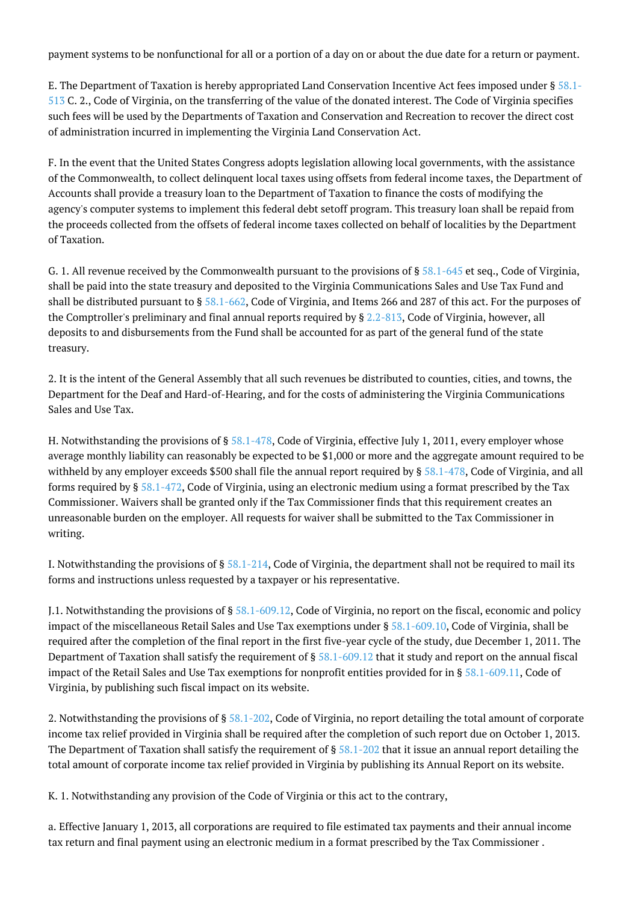payment systems to be nonfunctional for all or a portion of a day on or about the due date for a return or payment.

E. The Department of Taxation is hereby appropriated Land Conservation Incentive Act fees imposed under § [58.1-](http://law.lis.virginia.gov/vacode/58.1-513/) [513](http://law.lis.virginia.gov/vacode/58.1-513/) C. 2., Code of Virginia, on the transferring of the value of the donated interest. The Code of Virginia specifies such fees will be used by the Departments of Taxation and Conservation and Recreation to recover the direct cost of administration incurred in implementing the Virginia Land Conservation Act.

F. In the event that the United States Congress adopts legislation allowing local governments, with the assistance of the Commonwealth, to collect delinquent local taxes using offsets from federal income taxes, the Department of Accounts shall provide a treasury loan to the Department of Taxation to finance the costs of modifying the agency's computer systems to implement this federal debt setoff program. This treasury loan shall be repaid from the proceeds collected from the offsets of federal income taxes collected on behalf of localities by the Department of Taxation.

G. 1. All revenue received by the Commonwealth pursuant to the provisions of  $\S 58.1-645$  $\S 58.1-645$  et seq., Code of Virginia, shall be paid into the state treasury and deposited to the Virginia Communications Sales and Use Tax Fund and shall be distributed pursuant to § [58.1-662](http://law.lis.virginia.gov/vacode/58.1-662/), Code of Virginia, and Items 266 and 287 of this act. For the purposes of the Comptroller's preliminary and final annual reports required by § [2.2-813,](http://law.lis.virginia.gov/vacode/2.2-813/) Code of Virginia, however, all deposits to and disbursements from the Fund shall be accounted for as part of the general fund of the state treasury.

2. It is the intent of the General Assembly that all such revenues be distributed to counties, cities, and towns, the Department for the Deaf and Hard-of-Hearing, and for the costs of administering the Virginia Communications Sales and Use Tax.

H. Notwithstanding the provisions of § [58.1-478,](http://law.lis.virginia.gov/vacode/58.1-478/) Code of Virginia, effective July 1, 2011, every employer whose average monthly liability can reasonably be expected to be \$1,000 or more and the aggregate amount required to be withheld by any employer exceeds \$500 shall file the annual report required by § [58.1-478,](http://law.lis.virginia.gov/vacode/58.1-478/) Code of Virginia, and all forms required by § [58.1-472,](http://law.lis.virginia.gov/vacode/58.1-472/) Code of Virginia, using an electronic medium using a format prescribed by the Tax Commissioner. Waivers shall be granted only if the Tax Commissioner finds that this requirement creates an unreasonable burden on the employer. All requests for waiver shall be submitted to the Tax Commissioner in writing.

I. Notwithstanding the provisions of § [58.1-214,](http://law.lis.virginia.gov/vacode/58.1-214/) Code of Virginia, the department shall not be required to mail its forms and instructions unless requested by a taxpayer or his representative.

J.1. Notwithstanding the provisions of § [58.1-609.12,](http://law.lis.virginia.gov/vacode/58.1-609.12/) Code of Virginia, no report on the fiscal, economic and policy impact of the miscellaneous Retail Sales and Use Tax exemptions under § [58.1-609.10](http://law.lis.virginia.gov/vacode/58.1-609.10/), Code of Virginia, shall be required after the completion of the final report in the first five-year cycle of the study, due December 1, 2011. The Department of Taxation shall satisfy the requirement of § [58.1-609.12](http://law.lis.virginia.gov/vacode/58.1-609.12/) that it study and report on the annual fiscal impact of the Retail Sales and Use Tax exemptions for nonprofit entities provided for in § [58.1-609.11,](http://law.lis.virginia.gov/vacode/58.1-609.11/) Code of Virginia, by publishing such fiscal impact on its website.

2. Notwithstanding the provisions of § [58.1-202,](http://law.lis.virginia.gov/vacode/58.1-202/) Code of Virginia, no report detailing the total amount of corporate income tax relief provided in Virginia shall be required after the completion of such report due on October 1, 2013. The Department of Taxation shall satisfy the requirement of  $\S 58.1-202$  $\S 58.1-202$  that it issue an annual report detailing the total amount of corporate income tax relief provided in Virginia by publishing its Annual Report on its website.

K. 1. Notwithstanding any provision of the Code of Virginia or this act to the contrary,

a. Effective January 1, 2013, all corporations are required to file estimated tax payments and their annual income tax return and final payment using an electronic medium in a format prescribed by the Tax Commissioner .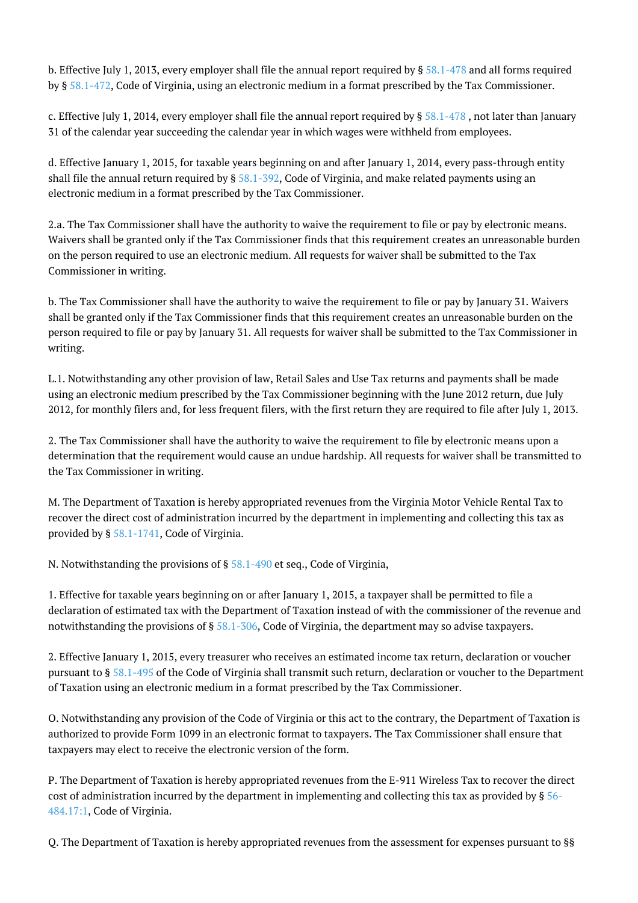b. Effective July 1, 2013, every employer shall file the annual report required by  $\S 58.1-478$  $\S 58.1-478$  and all forms required by § [58.1-472](http://law.lis.virginia.gov/vacode/58.1-472/), Code of Virginia, using an electronic medium in a format prescribed by the Tax Commissioner.

c. Effective July 1, 2014, every employer shall file the annual report required by  $\S 58.1-478$  $\S 58.1-478$ , not later than January 31 of the calendar year succeeding the calendar year in which wages were withheld from employees.

d. Effective January 1, 2015, for taxable years beginning on and after January 1, 2014, every pass-through entity shall file the annual return required by  $\S 58.1-392$  $\S 58.1-392$ , Code of Virginia, and make related payments using an electronic medium in a format prescribed by the Tax Commissioner.

2.a. The Tax Commissioner shall have the authority to waive the requirement to file or pay by electronic means. Waivers shall be granted only if the Tax Commissioner finds that this requirement creates an unreasonable burden on the person required to use an electronic medium. All requests for waiver shall be submitted to the Tax Commissioner in writing.

b. The Tax Commissioner shall have the authority to waive the requirement to file or pay by January 31. Waivers shall be granted only if the Tax Commissioner finds that this requirement creates an unreasonable burden on the person required to file or pay by January 31. All requests for waiver shall be submitted to the Tax Commissioner in writing.

L.1. Notwithstanding any other provision of law, Retail Sales and Use Tax returns and payments shall be made using an electronic medium prescribed by the Tax Commissioner beginning with the June 2012 return, due July 2012, for monthly filers and, for less frequent filers, with the first return they are required to file after July 1, 2013.

2. The Tax Commissioner shall have the authority to waive the requirement to file by electronic means upon a determination that the requirement would cause an undue hardship. All requests for waiver shall be transmitted to the Tax Commissioner in writing.

M. The Department of Taxation is hereby appropriated revenues from the Virginia Motor Vehicle Rental Tax to recover the direct cost of administration incurred by the department in implementing and collecting this tax as provided by § [58.1-1741,](http://law.lis.virginia.gov/vacode/58.1-1741/) Code of Virginia.

N. Notwithstanding the provisions of § [58.1-490](http://law.lis.virginia.gov/vacode/58.1-490/) et seq., Code of Virginia,

1. Effective for taxable years beginning on or after January 1, 2015, a taxpayer shall be permitted to file a declaration of estimated tax with the Department of Taxation instead of with the commissioner of the revenue and notwithstanding the provisions of § [58.1-306](http://law.lis.virginia.gov/vacode/58.1-306/), Code of Virginia, the department may so advise taxpayers.

2. Effective January 1, 2015, every treasurer who receives an estimated income tax return, declaration or voucher pursuant to § [58.1-495](http://law.lis.virginia.gov/vacode/58.1-495/) of the Code of Virginia shall transmit such return, declaration or voucher to the Department of Taxation using an electronic medium in a format prescribed by the Tax Commissioner.

O. Notwithstanding any provision of the Code of Virginia or this act to the contrary, the Department of Taxation is authorized to provide Form 1099 in an electronic format to taxpayers. The Tax Commissioner shall ensure that taxpayers may elect to receive the electronic version of the form.

P. The Department of Taxation is hereby appropriated revenues from the E-911 Wireless Tax to recover the direct cost of administration incurred by the department in implementing and collecting this tax as provided by § [56-](http://law.lis.virginia.gov/vacode/56-484.17:1/) [484.17:1](http://law.lis.virginia.gov/vacode/56-484.17:1/), Code of Virginia.

Q. The Department of Taxation is hereby appropriated revenues from the assessment for expenses pursuant to §§